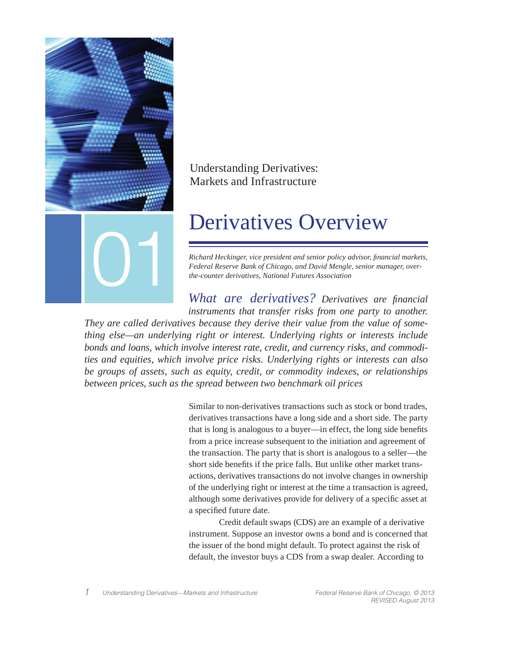

# Understanding Derivatives: Markets and Infrastructure

*Richard Heckinger, vice president and senior policy advisor, fi nancial markets,* 

*What are derivatives? Derivatives are financial instruments that transfer risks from one party to another. They are called derivatives because they derive their value from the value of something else—an underlying right or interest. Underlying rights or interests include bonds and loans, which involve interest rate, credit, and currency risks, and commodities and equities, which involve price risks. Underlying rights or interests can also be groups of assets, such as equity, credit, or commodity indexes, or relationships between prices, such as the spread between two benchmark oil prices* 

> Similar to non-derivatives transactions such as stock or bond trades, derivatives transactions have a long side and a short side. The party that is long is analogous to a buyer—in effect, the long side benefits from a price increase subsequent to the initiation and agreement of the transaction. The party that is short is analogous to a seller—the short side benefits if the price falls. But unlike other market transactions, derivatives transactions do not involve changes in ownership of the underlying right or interest at the time a transaction is agreed, although some derivatives provide for delivery of a specific asset at a specified future date.

> Credit default swaps (CDS) are an example of a derivative instrument. Suppose an investor owns a bond and is concerned that the issuer of the bond might default. To protect against the risk of default, the investor buys a CDS from a swap dealer. According to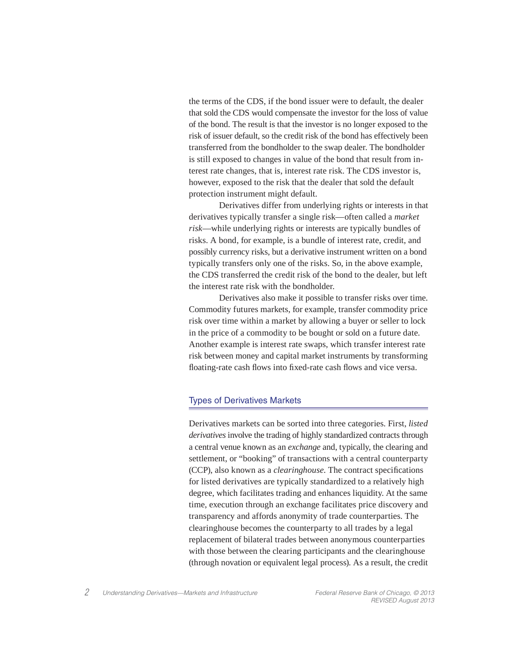the terms of the CDS, if the bond issuer were to default, the dealer that sold the CDS would compensate the investor for the loss of value of the bond. The result is that the investor is no longer exposed to the risk of issuer default, so the credit risk of the bond has effectively been transferred from the bondholder to the swap dealer. The bondholder is still exposed to changes in value of the bond that result from interest rate changes, that is, interest rate risk. The CDS investor is, however, exposed to the risk that the dealer that sold the default protection instrument might default.

 Derivatives differ from underlying rights or interests in that derivatives typically transfer a single risk—often called a *market risk*—while underlying rights or interests are typically bundles of risks. A bond, for example, is a bundle of interest rate, credit, and possibly currency risks, but a derivative instrument written on a bond typically transfers only one of the risks. So, in the above example, the CDS transferred the credit risk of the bond to the dealer, but left the interest rate risk with the bondholder.

 Derivatives also make it possible to transfer risks over time. Commodity futures markets, for example, transfer commodity price risk over time within a market by allowing a buyer or seller to lock in the price of a commodity to be bought or sold on a future date. Another example is interest rate swaps, which transfer interest rate risk between money and capital market instruments by transforming floating-rate cash flows into fixed-rate cash flows and vice versa.

# Types of Derivatives Markets

Derivatives markets can be sorted into three categories. First, *listed derivatives* involve the trading of highly standardized contracts through a central venue known as an *exchange* and, typically, the clearing and settlement, or "booking" of transactions with a central counterparty (CCP), also known as a *clearinghouse*. The contract specifications for listed derivatives are typically standardized to a relatively high degree, which facilitates trading and enhances liquidity. At the same time, execution through an exchange facilitates price discovery and transparency and affords anonymity of trade counterparties. The clearinghouse becomes the counterparty to all trades by a legal replacement of bilateral trades between anonymous counterparties with those between the clearing participants and the clearinghouse (through novation or equivalent legal process). As a result, the credit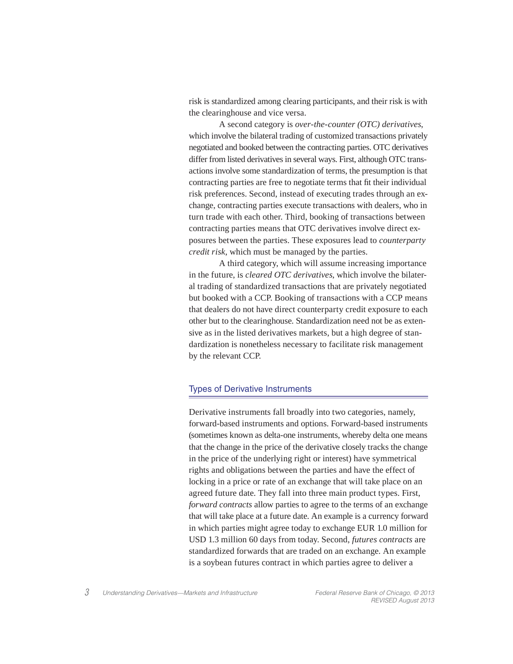risk is standardized among clearing participants, and their risk is with the clearinghouse and vice versa.

 A second category is *over-the-counter (OTC) derivatives*, which involve the bilateral trading of customized transactions privately negotiated and booked between the contracting parties. OTC derivatives differ from listed derivatives in several ways. First, although OTC transactions involve some standardization of terms, the presumption is that contracting parties are free to negotiate terms that fit their individual risk preferences. Second, instead of executing trades through an exchange, contracting parties execute transactions with dealers, who in turn trade with each other. Third, booking of transactions between contracting parties means that OTC derivatives involve direct exposures between the parties. These exposures lead to *counterparty credit risk*, which must be managed by the parties.

 A third category, which will assume increasing importance in the future, is *cleared OTC derivatives*, which involve the bilateral trading of standardized transactions that are privately negotiated but booked with a CCP. Booking of transactions with a CCP means that dealers do not have direct counterparty credit exposure to each other but to the clearinghouse. Standardization need not be as extensive as in the listed derivatives markets, but a high degree of standardization is nonetheless necessary to facilitate risk management by the relevant CCP.

#### Types of Derivative Instruments

Derivative instruments fall broadly into two categories, namely, forward-based instruments and options. Forward-based instruments (sometimes known as delta-one instruments, whereby delta one means that the change in the price of the derivative closely tracks the change in the price of the underlying right or interest) have symmetrical rights and obligations between the parties and have the effect of locking in a price or rate of an exchange that will take place on an agreed future date. They fall into three main product types. First, *forward contracts* allow parties to agree to the terms of an exchange that will take place at a future date. An example is a currency forward in which parties might agree today to exchange EUR 1.0 million for USD 1.3 million 60 days from today. Second, *futures contracts* are standardized forwards that are traded on an exchange. An example is a soybean futures contract in which parties agree to deliver a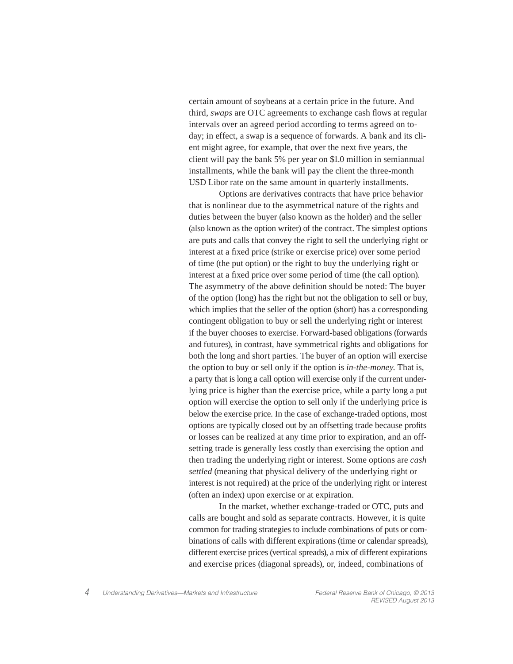certain amount of soybeans at a certain price in the future. And third, *swaps* are OTC agreements to exchange cash flows at regular intervals over an agreed period according to terms agreed on today; in effect, a swap is a sequence of forwards. A bank and its client might agree, for example, that over the next five years, the client will pay the bank 5% per year on \$1.0 million in semiannual installments, while the bank will pay the client the three-month USD Libor rate on the same amount in quarterly installments.

 Options are derivatives contracts that have price behavior that is nonlinear due to the asymmetrical nature of the rights and duties between the buyer (also known as the holder) and the seller (also known as the option writer) of the contract. The simplest options are puts and calls that convey the right to sell the underlying right or interest at a fixed price (strike or exercise price) over some period of time (the put option) or the right to buy the underlying right or interest at a fixed price over some period of time (the call option). The asymmetry of the above definition should be noted: The buyer of the option (long) has the right but not the obligation to sell or buy, which implies that the seller of the option (short) has a corresponding contingent obligation to buy or sell the underlying right or interest if the buyer chooses to exercise. Forward-based obligations (forwards and futures), in contrast, have symmetrical rights and obligations for both the long and short parties. The buyer of an option will exercise the option to buy or sell only if the option is *in-the-money*. That is, a party that is long a call option will exercise only if the current underlying price is higher than the exercise price, while a party long a put option will exercise the option to sell only if the underlying price is below the exercise price. In the case of exchange-traded options, most options are typically closed out by an offsetting trade because profits or losses can be realized at any time prior to expiration, and an offsetting trade is generally less costly than exercising the option and then trading the underlying right or interest. Some options are *cash settled* (meaning that physical delivery of the underlying right or interest is not required) at the price of the underlying right or interest (often an index) upon exercise or at expiration.

 In the market, whether exchange-traded or OTC, puts and calls are bought and sold as separate contracts. However, it is quite common for trading strategies to include combinations of puts or combinations of calls with different expirations (time or calendar spreads), different exercise prices (vertical spreads), a mix of different expirations and exercise prices (diagonal spreads), or, indeed, combinations of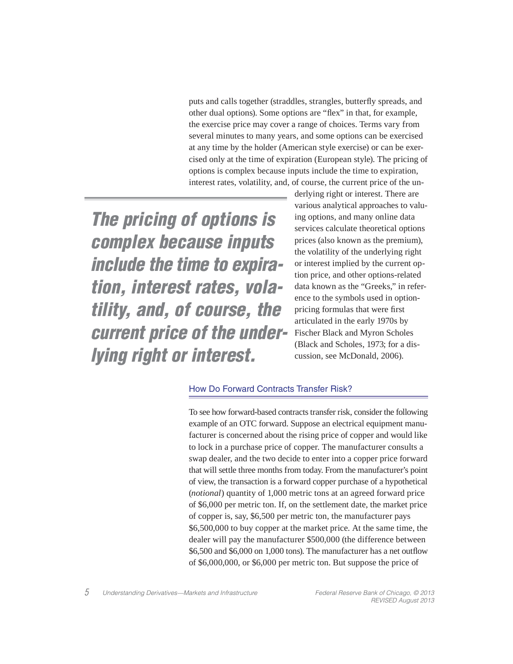puts and calls together (straddles, strangles, butterfly spreads, and other dual options). Some options are "flex" in that, for example, the exercise price may cover a range of choices. Terms vary from several minutes to many years, and some options can be exercised at any time by the holder (American style exercise) or can be exercised only at the time of expiration (European style). The pricing of options is complex because inputs include the time to expiration, interest rates, volatility, and, of course, the current price of the un-

*The pricing of options is complex because inputs include the time to expiration, interest rates, volatility, and, of course, the current price of the underlying right or interest.*

derlying right or interest. There are various analytical approaches to valuing options, and many online data services calculate theoretical options prices (also known as the premium), the volatility of the underlying right or interest implied by the current option price, and other options-related data known as the "Greeks," in reference to the symbols used in optionpricing formulas that were first articulated in the early 1970s by Fischer Black and Myron Scholes (Black and Scholes, 1973; for a discussion, see McDonald, 2006).

# How Do Forward Contracts Transfer Risk?

To see how forward-based contracts transfer risk, consider the following example of an OTC forward. Suppose an electrical equipment manufacturer is concerned about the rising price of copper and would like to lock in a purchase price of copper. The manufacturer consults a swap dealer, and the two decide to enter into a copper price forward that will settle three months from today. From the manufacturer's point of view, the transaction is a forward copper purchase of a hypothetical (*notional*) quantity of 1,000 metric tons at an agreed forward price of \$6,000 per metric ton. If, on the settlement date, the market price of copper is, say, \$6,500 per metric ton, the manufacturer pays \$6,500,000 to buy copper at the market price. At the same time, the dealer will pay the manufacturer \$500,000 (the difference between  $$6,500$  and  $$6,000$  on 1,000 tons). The manufacturer has a net outflow of \$6,000,000, or \$6,000 per metric ton. But suppose the price of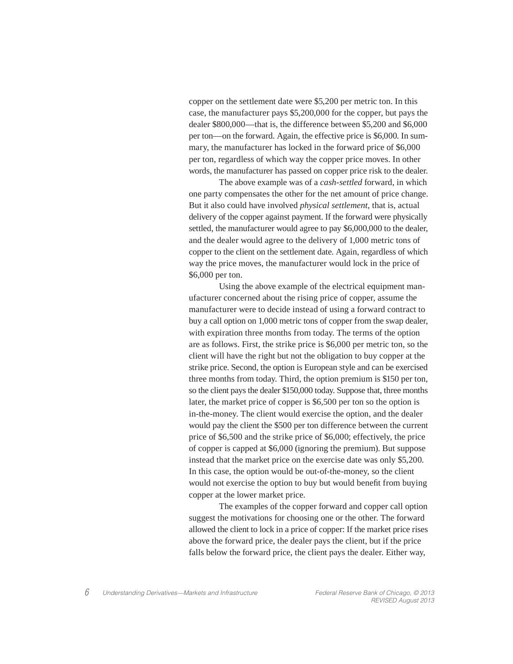copper on the settlement date were \$5,200 per metric ton. In this case, the manufacturer pays \$5,200,000 for the copper, but pays the dealer \$800,000—that is, the difference between \$5,200 and \$6,000 per ton—on the forward. Again, the effective price is \$6,000. In summary, the manufacturer has locked in the forward price of \$6,000 per ton, regardless of which way the copper price moves. In other words, the manufacturer has passed on copper price risk to the dealer.

 The above example was of a *cash-settled* forward, in which one party compensates the other for the net amount of price change. But it also could have involved *physical settlement*, that is, actual delivery of the copper against payment. If the forward were physically settled, the manufacturer would agree to pay \$6,000,000 to the dealer, and the dealer would agree to the delivery of 1,000 metric tons of copper to the client on the settlement date. Again, regardless of which way the price moves, the manufacturer would lock in the price of \$6,000 per ton.

 Using the above example of the electrical equipment manufacturer concerned about the rising price of copper, assume the manufacturer were to decide instead of using a forward contract to buy a call option on 1,000 metric tons of copper from the swap dealer, with expiration three months from today. The terms of the option are as follows. First, the strike price is \$6,000 per metric ton, so the client will have the right but not the obligation to buy copper at the strike price. Second, the option is European style and can be exercised three months from today. Third, the option premium is \$150 per ton, so the client pays the dealer \$150,000 today. Suppose that, three months later, the market price of copper is \$6,500 per ton so the option is in-the-money. The client would exercise the option, and the dealer would pay the client the \$500 per ton difference between the current price of \$6,500 and the strike price of \$6,000; effectively, the price of copper is capped at \$6,000 (ignoring the premium). But suppose instead that the market price on the exercise date was only \$5,200. In this case, the option would be out-of-the-money, so the client would not exercise the option to buy but would benefit from buying copper at the lower market price.

 The examples of the copper forward and copper call option suggest the motivations for choosing one or the other. The forward allowed the client to lock in a price of copper: If the market price rises above the forward price, the dealer pays the client, but if the price falls below the forward price, the client pays the dealer. Either way,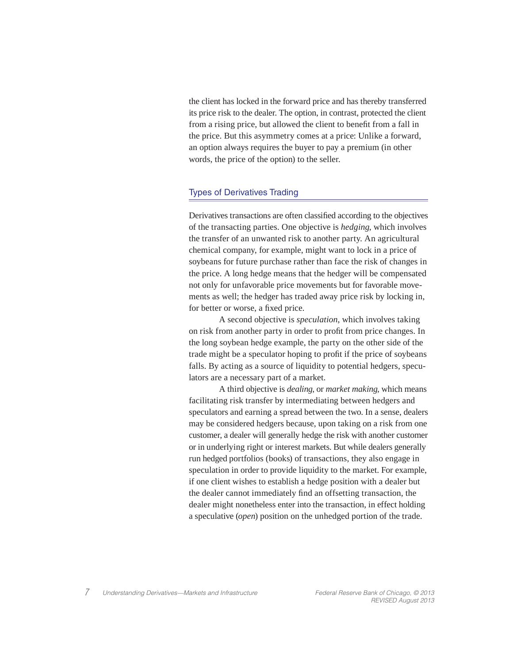the client has locked in the forward price and has thereby transferred its price risk to the dealer. The option, in contrast, protected the client from a rising price, but allowed the client to benefit from a fall in the price. But this asymmetry comes at a price: Unlike a forward, an option always requires the buyer to pay a premium (in other words, the price of the option) to the seller.

# Types of Derivatives Trading

Derivatives transactions are often classified according to the objectives of the transacting parties. One objective is *hedging*, which involves the transfer of an unwanted risk to another party. An agricultural chemical company, for example, might want to lock in a price of soybeans for future purchase rather than face the risk of changes in the price. A long hedge means that the hedger will be compensated not only for unfavorable price movements but for favorable movements as well; the hedger has traded away price risk by locking in, for better or worse, a fixed price.

 A second objective is *speculation*, which involves taking on risk from another party in order to profi t from price changes. In the long soybean hedge example, the party on the other side of the trade might be a speculator hoping to profit if the price of soybeans falls. By acting as a source of liquidity to potential hedgers, speculators are a necessary part of a market.

 A third objective is *dealing*, or *market making*, which means facilitating risk transfer by intermediating between hedgers and speculators and earning a spread between the two. In a sense, dealers may be considered hedgers because, upon taking on a risk from one customer, a dealer will generally hedge the risk with another customer or in underlying right or interest markets. But while dealers generally run hedged portfolios (books) of transactions, they also engage in speculation in order to provide liquidity to the market. For example, if one client wishes to establish a hedge position with a dealer but the dealer cannot immediately find an offsetting transaction, the dealer might nonetheless enter into the transaction, in effect holding a speculative (*open*) position on the unhedged portion of the trade.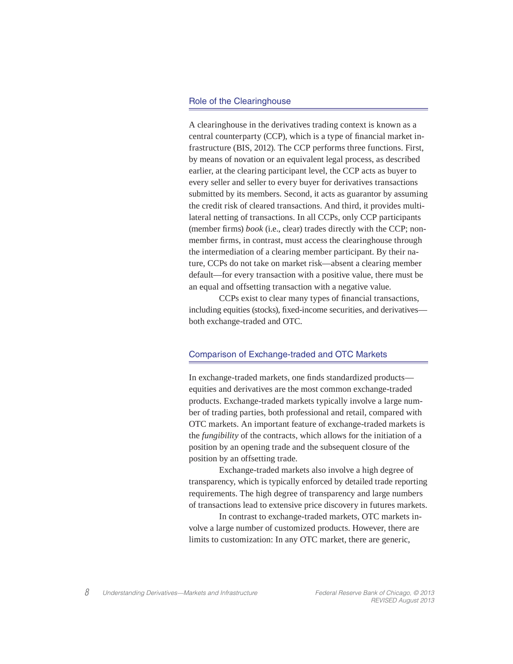#### Role of the Clearinghouse

A clearinghouse in the derivatives trading context is known as a central counterparty (CCP), which is a type of financial market infrastructure (BIS, 2012). The CCP performs three functions. First, by means of novation or an equivalent legal process, as described earlier, at the clearing participant level, the CCP acts as buyer to every seller and seller to every buyer for derivatives transactions submitted by its members. Second, it acts as guarantor by assuming the credit risk of cleared transactions. And third, it provides multilateral netting of transactions. In all CCPs, only CCP participants (member firms) *book* (i.e., clear) trades directly with the CCP; nonmember firms, in contrast, must access the clearinghouse through the intermediation of a clearing member participant. By their nature, CCPs do not take on market risk—absent a clearing member default—for every transaction with a positive value, there must be an equal and offsetting transaction with a negative value.

CCPs exist to clear many types of financial transactions, including equities (stocks), fixed-income securities, and derivatives both exchange-traded and OTC.

## Comparison of Exchange-traded and OTC Markets

In exchange-traded markets, one finds standardized products equities and derivatives are the most common exchange-traded products. Exchange-traded markets typically involve a large number of trading parties, both professional and retail, compared with OTC markets. An important feature of exchange-traded markets is the *fungibility* of the contracts, which allows for the initiation of a position by an opening trade and the subsequent closure of the position by an offsetting trade.

 Exchange-traded markets also involve a high degree of transparency, which is typically enforced by detailed trade reporting requirements. The high degree of transparency and large numbers of transactions lead to extensive price discovery in futures markets.

 In contrast to exchange-traded markets, OTC markets involve a large number of customized products. However, there are limits to customization: In any OTC market, there are generic,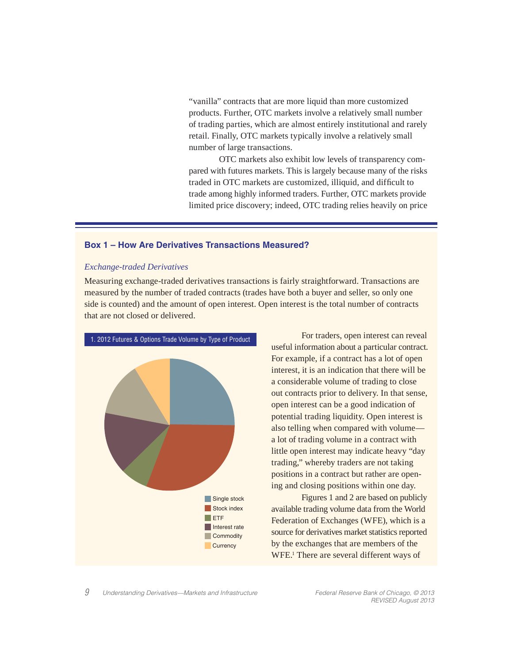"vanilla" contracts that are more liquid than more customized products. Further, OTC markets involve a relatively small number of trading parties, which are almost entirely institutional and rarely retail. Finally, OTC markets typically involve a relatively small number of large transactions.

 OTC markets also exhibit low levels of transparency compared with futures markets. This is largely because many of the risks traded in OTC markets are customized, illiquid, and difficult to trade among highly informed traders. Further, OTC markets provide limited price discovery; indeed, OTC trading relies heavily on price

### **Box 1 – How Are Derivatives Transactions Measured?**

#### *Exchange-traded Derivatives*

Measuring exchange-traded derivatives transactions is fairly straightforward. Transactions are measured by the number of traded contracts (trades have both a buyer and seller, so only one side is counted) and the amount of open interest. Open interest is the total number of contracts that are not closed or delivered.



 For traders, open interest can reveal useful information about a particular contract. For example, if a contract has a lot of open interest, it is an indication that there will be a considerable volume of trading to close out contracts prior to delivery. In that sense, open interest can be a good indication of potential trading liquidity. Open interest is also telling when compared with volume a lot of trading volume in a contract with little open interest may indicate heavy "day trading," whereby traders are not taking positions in a contract but rather are opening and closing positions within one day.

 Figures 1 and 2 are based on publicly available trading volume data from the World Federation of Exchanges (WFE), which is a source for derivatives market statistics reported by the exchanges that are members of the WFE.<sup>1</sup> There are several different ways of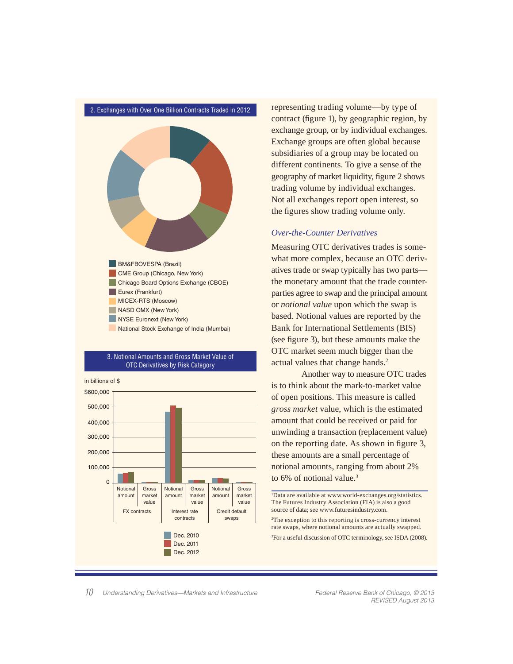

#### 3. Notional Amounts and Gross Market Value of OTC Derivatives by Risk Category



representing trading volume—by type of contract (figure 1), by geographic region, by exchange group, or by individual exchanges. Exchange groups are often global because subsidiaries of a group may be located on different continents. To give a sense of the geography of market liquidity, figure 2 shows trading volume by individual exchanges. Not all exchanges report open interest, so the figures show trading volume only.

# *Over-the-Counter Derivatives*

Measuring OTC derivatives trades is somewhat more complex, because an OTC derivatives trade or swap typically has two parts the monetary amount that the trade counterparties agree to swap and the principal amount or *notional value* upon which the swap is based. Notional values are reported by the Bank for International Settlements (BIS) (see figure 3), but these amounts make the OTC market seem much bigger than the actual values that change hands.<sup>2</sup>

 Another way to measure OTC trades is to think about the mark-to-market value of open positions. This measure is called *gross market* value, which is the estimated amount that could be received or paid for unwinding a transaction (replacement value) on the reporting date. As shown in figure 3, these amounts are a small percentage of notional amounts, ranging from about 2% to 6% of notional value.<sup>3</sup>

1 Data are available at www.world-exchanges.org/statistics. The Futures Industry Association (FIA) is also a good source of data; see www.futuresindustry.com.

2 The exception to this reporting is cross-currency interest rate swaps, where notional amounts are actually swapped.

<sup>3</sup>For a useful discussion of OTC terminology, see ISDA (2008).

*Understanding Derivatives—Markets and Infrastructure Federal Reserve Bank of Chicago, © 2013 10* 

*REVISED August 2013*